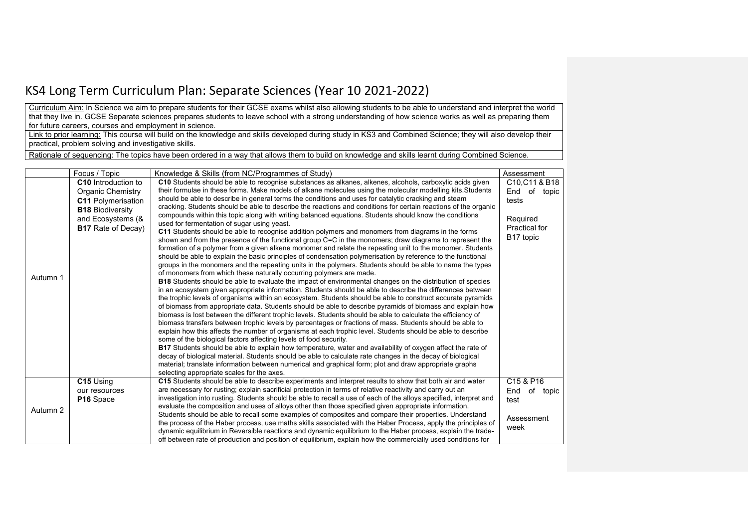## KS4 Long Term Curriculum Plan: Separate Sciences (Year 10 2021-2022)

Curriculum Aim: In Science we aim to prepare students for their GCSE exams whilst also allowing students to be able to understand and interpret the world That they live in. GCSE Separate sciences prepares students to leave school with a strong understanding of how science works as well as preparing them for future careers, courses and employment in science.

Link to prior learning: This course will build on the knowledge and skills developed during study in KS3 and Combined Science; they will also develop their practical, problem solving and investigative skills.

Rationale of sequencing: The topics have been ordered in a way that allows them to build on knowledge and skills learnt during Combined Science.

|          | Focus / Topic                                                                                                                                                    | Knowledge & Skills (from NC/Programmes of Study)<br>Assessment                                                                                                                                                                                                                                                                                                                                                                                                                                                                                                                                                                                                                                                                                                                                                                                                                                                                                                                                                                                                                                                                                                                                                                                                                                                                                                                                                                                                                                                                                                                                                                                                                                                                                                                                                                                                                                                                                                                                                                                                                                                                                                                                                                                                                                                                                                                                                                                                                                                            |                                                                                   |
|----------|------------------------------------------------------------------------------------------------------------------------------------------------------------------|---------------------------------------------------------------------------------------------------------------------------------------------------------------------------------------------------------------------------------------------------------------------------------------------------------------------------------------------------------------------------------------------------------------------------------------------------------------------------------------------------------------------------------------------------------------------------------------------------------------------------------------------------------------------------------------------------------------------------------------------------------------------------------------------------------------------------------------------------------------------------------------------------------------------------------------------------------------------------------------------------------------------------------------------------------------------------------------------------------------------------------------------------------------------------------------------------------------------------------------------------------------------------------------------------------------------------------------------------------------------------------------------------------------------------------------------------------------------------------------------------------------------------------------------------------------------------------------------------------------------------------------------------------------------------------------------------------------------------------------------------------------------------------------------------------------------------------------------------------------------------------------------------------------------------------------------------------------------------------------------------------------------------------------------------------------------------------------------------------------------------------------------------------------------------------------------------------------------------------------------------------------------------------------------------------------------------------------------------------------------------------------------------------------------------------------------------------------------------------------------------------------------------|-----------------------------------------------------------------------------------|
| Autumn 1 | <b>C10</b> Introduction to<br><b>Organic Chemistry</b><br><b>C11 Polymerisation</b><br><b>B18 Biodiversity</b><br>and Ecosystems (&<br><b>B17</b> Rate of Decay) | C10 Students should be able to recognise substances as alkanes, alkenes, alcohols, carboxylic acids given<br>their formulae in these forms. Make models of alkane molecules using the molecular modelling kits. Students<br>should be able to describe in general terms the conditions and uses for catalytic cracking and steam<br>cracking. Students should be able to describe the reactions and conditions for certain reactions of the organic<br>compounds within this topic along with writing balanced equations. Students should know the conditions<br>used for fermentation of sugar using yeast.<br>C11 Students should be able to recognise addition polymers and monomers from diagrams in the forms<br>shown and from the presence of the functional group C=C in the monomers; draw diagrams to represent the<br>formation of a polymer from a given alkene monomer and relate the repeating unit to the monomer. Students<br>should be able to explain the basic principles of condensation polymerisation by reference to the functional<br>groups in the monomers and the repeating units in the polymers. Students should be able to name the types<br>of monomers from which these naturally occurring polymers are made.<br><b>B18</b> Students should be able to evaluate the impact of environmental changes on the distribution of species<br>in an ecosystem given appropriate information. Students should be able to describe the differences between<br>the trophic levels of organisms within an ecosystem. Students should be able to construct accurate pyramids<br>of biomass from appropriate data. Students should be able to describe pyramids of biomass and explain how<br>biomass is lost between the different trophic levels. Students should be able to calculate the efficiency of<br>biomass transfers between trophic levels by percentages or fractions of mass. Students should be able to<br>explain how this affects the number of organisms at each trophic level. Students should be able to describe<br>some of the biological factors affecting levels of food security.<br><b>B17</b> Students should be able to explain how temperature, water and availability of oxygen affect the rate of<br>decay of biological material. Students should be able to calculate rate changes in the decay of biological<br>material; translate information between numerical and graphical form; plot and draw appropriate graphs<br>selecting appropriate scales for the axes. | C10, C11 & B18<br>End of topic<br>tests<br>Required<br>Practical for<br>B17 topic |
| Autumn 2 | C <sub>15</sub> Using<br>our resources<br>P <sub>16</sub> Space                                                                                                  | C15 Students should be able to describe experiments and interpret results to show that both air and water<br>are necessary for rusting; explain sacrificial protection in terms of relative reactivity and carry out an<br>investigation into rusting. Students should be able to recall a use of each of the alloys specified, interpret and<br>evaluate the composition and uses of alloys other than those specified given appropriate information.<br>Students should be able to recall some examples of composites and compare their properties. Understand<br>the process of the Haber process, use maths skills associated with the Haber Process, apply the principles of<br>dynamic equilibrium in Reversible reactions and dynamic equilibrium to the Haber process, explain the trade-<br>off between rate of production and position of equilibrium, explain how the commercially used conditions for                                                                                                                                                                                                                                                                                                                                                                                                                                                                                                                                                                                                                                                                                                                                                                                                                                                                                                                                                                                                                                                                                                                                                                                                                                                                                                                                                                                                                                                                                                                                                                                                         | C15 & P16<br>End<br>of topic<br>test<br>Assessment<br>week                        |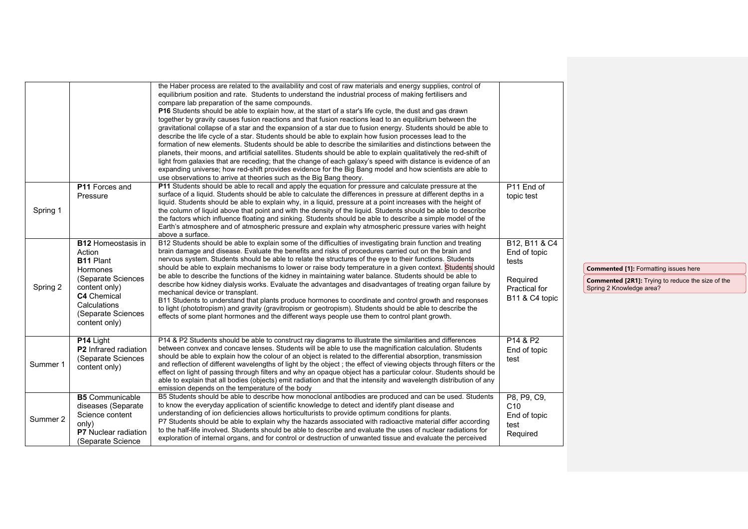|          |                                                                                                                                                                                  | the Haber process are related to the availability and cost of raw materials and energy supplies, control of<br>equilibrium position and rate. Students to understand the industrial process of making fertilisers and<br>compare lab preparation of the same compounds.<br>P16 Students should be able to explain how, at the start of a star's life cycle, the dust and gas drawn<br>together by gravity causes fusion reactions and that fusion reactions lead to an equilibrium between the<br>gravitational collapse of a star and the expansion of a star due to fusion energy. Students should be able to<br>describe the life cycle of a star. Students should be able to explain how fusion processes lead to the<br>formation of new elements. Students should be able to describe the similarities and distinctions between the<br>planets, their moons, and artificial satellites. Students should be able to explain qualitatively the red-shift of<br>light from galaxies that are receding; that the change of each galaxy's speed with distance is evidence of an<br>expanding universe; how red-shift provides evidence for the Big Bang model and how scientists are able to<br>use observations to arrive at theories such as the Big Bang theory. |                                                                                       |                                                                                                                                      |
|----------|----------------------------------------------------------------------------------------------------------------------------------------------------------------------------------|----------------------------------------------------------------------------------------------------------------------------------------------------------------------------------------------------------------------------------------------------------------------------------------------------------------------------------------------------------------------------------------------------------------------------------------------------------------------------------------------------------------------------------------------------------------------------------------------------------------------------------------------------------------------------------------------------------------------------------------------------------------------------------------------------------------------------------------------------------------------------------------------------------------------------------------------------------------------------------------------------------------------------------------------------------------------------------------------------------------------------------------------------------------------------------------------------------------------------------------------------------------------|---------------------------------------------------------------------------------------|--------------------------------------------------------------------------------------------------------------------------------------|
| Spring 1 | P11 Forces and<br>Pressure                                                                                                                                                       | P11 Students should be able to recall and apply the equation for pressure and calculate pressure at the<br>surface of a liquid. Students should be able to calculate the differences in pressure at different depths in a<br>liquid. Students should be able to explain why, in a liquid, pressure at a point increases with the height of<br>the column of liquid above that point and with the density of the liquid. Students should be able to describe<br>the factors which influence floating and sinking. Students should be able to describe a simple model of the<br>Earth's atmosphere and of atmospheric pressure and explain why atmospheric pressure varies with height<br>above a surface.                                                                                                                                                                                                                                                                                                                                                                                                                                                                                                                                                             | P11 End of<br>topic test                                                              |                                                                                                                                      |
| Spring 2 | <b>B12 Homeostasis in</b><br>Action<br><b>B11 Plant</b><br>Hormones<br>(Separate Sciences<br>content only)<br>C4 Chemical<br>Calculations<br>(Separate Sciences<br>content only) | B12 Students should be able to explain some of the difficulties of investigating brain function and treating<br>brain damage and disease. Evaluate the benefits and risks of procedures carried out on the brain and<br>nervous system. Students should be able to relate the structures of the eye to their functions. Students<br>should be able to explain mechanisms to lower or raise body temperature in a given context. Students should<br>be able to describe the functions of the kidney in maintaining water balance. Students should be able to<br>describe how kidney dialysis works. Evaluate the advantages and disadvantages of treating organ failure by<br>mechanical device or transplant.<br>B11 Students to understand that plants produce hormones to coordinate and control growth and responses<br>to light (phototropism) and gravity (gravitropism or geotropism). Students should be able to describe the<br>effects of some plant hormones and the different ways people use them to control plant growth.                                                                                                                                                                                                                               | B12, B11 & C4<br>End of topic<br>tests<br>Required<br>Practical for<br>B11 & C4 topic | <b>Commented [1]: Formatting issues here</b><br><b>Commented [2R1]:</b> Trying to reduce the size of the<br>Spring 2 Knowledge area? |
| Summer 1 | P14 Light<br><b>P2</b> Infrared radiation<br>(Separate Sciences<br>content only)                                                                                                 | P14 & P2 Students should be able to construct ray diagrams to illustrate the similarities and differences<br>between convex and concave lenses. Students will be able to use the magnification calculation. Students<br>should be able to explain how the colour of an object is related to the differential absorption, transmission<br>and reflection of different wavelengths of light by the object; the effect of viewing objects through filters or the<br>effect on light of passing through filters and why an opaque object has a particular colour. Students should be<br>able to explain that all bodies (objects) emit radiation and that the intensity and wavelength distribution of any<br>emission depends on the temperature of the body                                                                                                                                                                                                                                                                                                                                                                                                                                                                                                            | P14 & P2<br>End of topic<br>test                                                      |                                                                                                                                      |
| Summer 2 | <b>B5</b> Communicable<br>diseases (Separate<br>Science content<br>only)<br><b>P7</b> Nuclear radiation<br>(Separate Science                                                     | B5 Students should be able to describe how monoclonal antibodies are produced and can be used. Students<br>to know the everyday application of scientific knowledge to detect and identify plant disease and<br>understanding of ion deficiencies allows horticulturists to provide optimum conditions for plants.<br>P7 Students should be able to explain why the hazards associated with radioactive material differ according<br>to the half-life involved. Students should be able to describe and evaluate the uses of nuclear radiations for<br>exploration of internal organs, and for control or destruction of unwanted tissue and evaluate the perceived                                                                                                                                                                                                                                                                                                                                                                                                                                                                                                                                                                                                  | P8, P9, C9,<br>C <sub>10</sub><br>End of topic<br>test<br>Required                    |                                                                                                                                      |